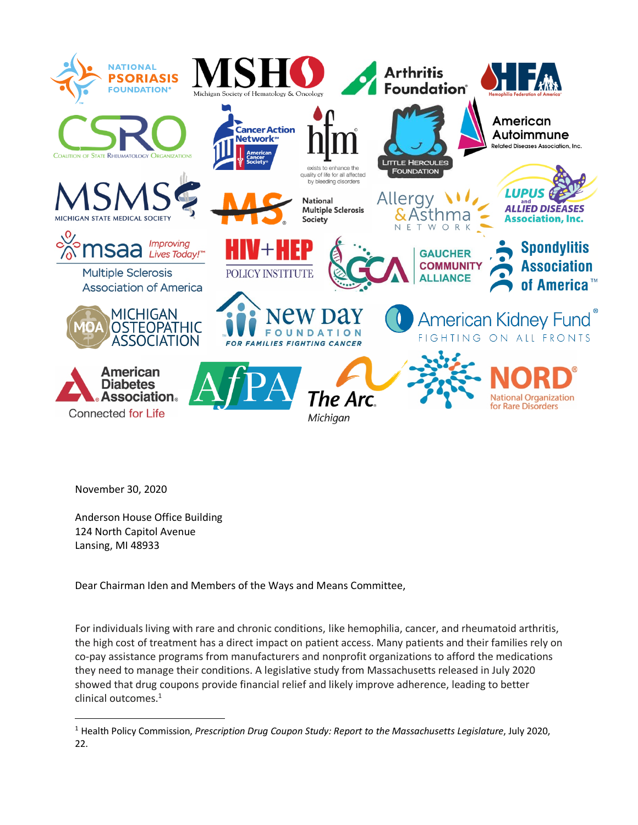

November 30, 2020

 $\overline{a}$ 

Anderson House Office Building 124 North Capitol Avenue Lansing, MI 48933

Dear Chairman Iden and Members of the Ways and Means Committee,

For individuals living with rare and chronic conditions, like hemophilia, cancer, and rheumatoid arthritis, the high cost of treatment has a direct impact on patient access. Many patients and their families rely on co-pay assistance programs from manufacturers and nonprofit organizations to afford the medications they need to manage their conditions. A legislative study from Massachusetts released in July 2020 showed that drug coupons provide financial relief and likely improve adherence, leading to better clinical outcomes.<sup>1</sup>

<sup>1</sup> Health Policy Commission, *Prescription Drug Coupon Study: Report to the Massachusetts Legislature*, July 2020, 22.